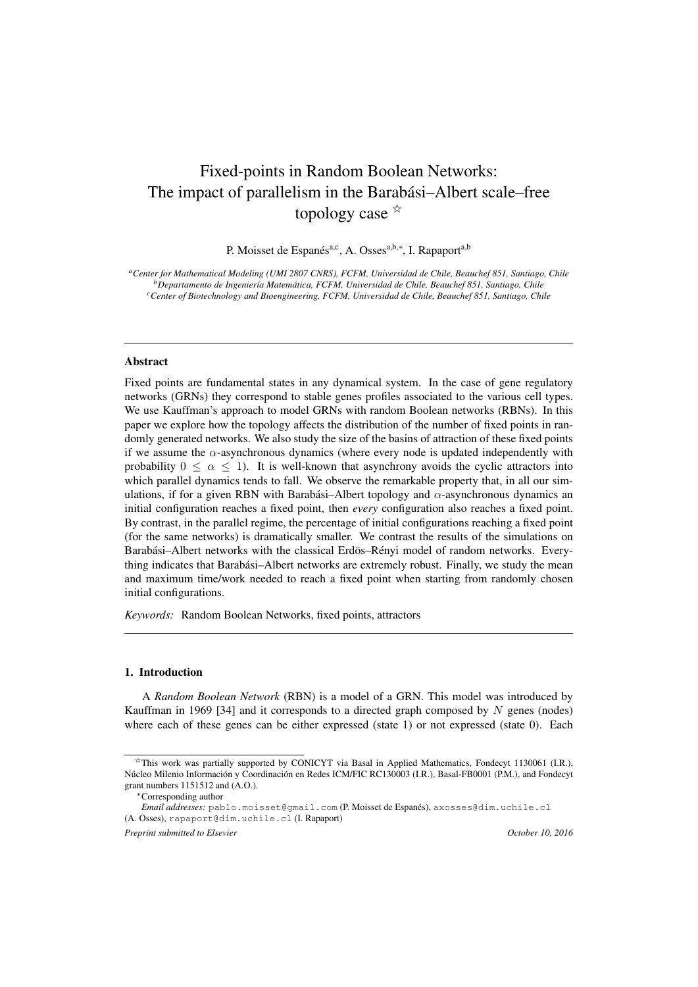# Fixed-points in Random Boolean Networks: The impact of parallelism in the Barabási–Albert scale–free topology case  $\hat{X}$

P. Moisset de Espanés<sup>a,c</sup>, A. Osses<sup>a,b,∗</sup>, I. Rapaport<sup>a,b</sup>

*<sup>a</sup>Center for Mathematical Modeling (UMI 2807 CNRS), FCFM, Universidad de Chile, Beauchef 851, Santiago, Chile <sup>b</sup>Departamento de Ingenier´ıa Matematica, FCFM, Universidad de Chile, Beauchef 851, Santiago, Chile ´ <sup>c</sup>Center of Biotechnology and Bioengineering, FCFM, Universidad de Chile, Beauchef 851, Santiago, Chile*

#### Abstract

Fixed points are fundamental states in any dynamical system. In the case of gene regulatory networks (GRNs) they correspond to stable genes profiles associated to the various cell types. We use Kauffman's approach to model GRNs with random Boolean networks (RBNs). In this paper we explore how the topology affects the distribution of the number of fixed points in randomly generated networks. We also study the size of the basins of attraction of these fixed points if we assume the  $\alpha$ -asynchronous dynamics (where every node is updated independently with probability  $0 \le \alpha \le 1$ ). It is well-known that asynchrony avoids the cyclic attractors into which parallel dynamics tends to fall. We observe the remarkable property that, in all our simulations, if for a given RBN with Barabási–Albert topology and  $\alpha$ -asynchronous dynamics an initial configuration reaches a fixed point, then *every* configuration also reaches a fixed point. By contrast, in the parallel regime, the percentage of initial configurations reaching a fixed point (for the same networks) is dramatically smaller. We contrast the results of the simulations on Barabási–Albert networks with the classical Erdös–Rényi model of random networks. Everything indicates that Barabasi–Albert networks are extremely robust. Finally, we study the mean ´ and maximum time/work needed to reach a fixed point when starting from randomly chosen initial configurations.

*Keywords:* Random Boolean Networks, fixed points, attractors

# 1. Introduction

A *Random Boolean Network* (RBN) is a model of a GRN. This model was introduced by Kauffman in 1969 [34] and it corresponds to a directed graph composed by  $N$  genes (nodes) where each of these genes can be either expressed (state 1) or not expressed (state 0). Each

<sup>✩</sup>This work was partially supported by CONICYT via Basal in Applied Mathematics, Fondecyt 1130061 (I.R.), Núcleo Milenio Información y Coordinación en Redes ICM/FIC RC130003 (I.R.), Basal-FB0001 (P.M.), and Fondecyt grant numbers 1151512 and (A.O.).

<sup>∗</sup>Corresponding author

*Email addresses:* pablo.moisset@gmail.com (P. Moisset de Espanés), axosses@dim.uchile.cl (A. Osses), rapaport@dim.uchile.cl (I. Rapaport)

*Preprint submitted to Elsevier*  $Octo$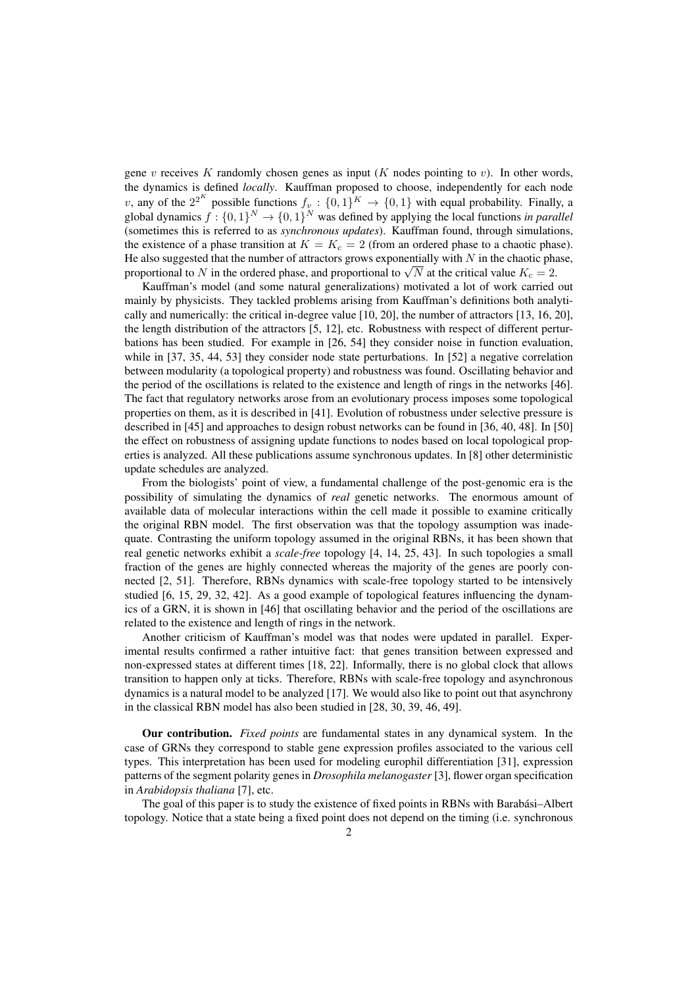gene  $v$  receives K randomly chosen genes as input (K nodes pointing to  $v$ ). In other words, the dynamics is defined *locally*. Kauffman proposed to choose, independently for each node v, any of the  $2^{2^K}$  possible functions  $f_v: \{0,1\}^K \to \{0,1\}$  with equal probability. Finally, a global dynamics  $f: \{0,1\}^N \to \{0,1\}^N$  was defined by applying the local functions *in parallel* (sometimes this is referred to as *synchronous updates*). Kauffman found, through simulations, the existence of a phase transition at  $K = K_c = 2$  (from an ordered phase to a chaotic phase). He also suggested that the number of attractors grows exponentially with  $N$  in the chaotic phase, He also suggested that the number of attractors grows exponentially with *N* in the chaotic phase proportional to N in the ordered phase, and proportional to  $\sqrt{N}$  at the critical value  $K_c = 2$ .

Kauffman's model (and some natural generalizations) motivated a lot of work carried out mainly by physicists. They tackled problems arising from Kauffman's definitions both analytically and numerically: the critical in-degree value [10, 20], the number of attractors [13, 16, 20], the length distribution of the attractors [5, 12], etc. Robustness with respect of different perturbations has been studied. For example in [26, 54] they consider noise in function evaluation, while in [37, 35, 44, 53] they consider node state perturbations. In [52] a negative correlation between modularity (a topological property) and robustness was found. Oscillating behavior and the period of the oscillations is related to the existence and length of rings in the networks [46]. The fact that regulatory networks arose from an evolutionary process imposes some topological properties on them, as it is described in [41]. Evolution of robustness under selective pressure is described in [45] and approaches to design robust networks can be found in [36, 40, 48]. In [50] the effect on robustness of assigning update functions to nodes based on local topological properties is analyzed. All these publications assume synchronous updates. In [8] other deterministic update schedules are analyzed.

From the biologists' point of view, a fundamental challenge of the post-genomic era is the possibility of simulating the dynamics of *real* genetic networks. The enormous amount of available data of molecular interactions within the cell made it possible to examine critically the original RBN model. The first observation was that the topology assumption was inadequate. Contrasting the uniform topology assumed in the original RBNs, it has been shown that real genetic networks exhibit a *scale-free* topology [4, 14, 25, 43]. In such topologies a small fraction of the genes are highly connected whereas the majority of the genes are poorly connected [2, 51]. Therefore, RBNs dynamics with scale-free topology started to be intensively studied [6, 15, 29, 32, 42]. As a good example of topological features influencing the dynamics of a GRN, it is shown in [46] that oscillating behavior and the period of the oscillations are related to the existence and length of rings in the network.

Another criticism of Kauffman's model was that nodes were updated in parallel. Experimental results confirmed a rather intuitive fact: that genes transition between expressed and non-expressed states at different times [18, 22]. Informally, there is no global clock that allows transition to happen only at ticks. Therefore, RBNs with scale-free topology and asynchronous dynamics is a natural model to be analyzed [17]. We would also like to point out that asynchrony in the classical RBN model has also been studied in [28, 30, 39, 46, 49].

Our contribution. *Fixed points* are fundamental states in any dynamical system. In the case of GRNs they correspond to stable gene expression profiles associated to the various cell types. This interpretation has been used for modeling europhil differentiation [31], expression patterns of the segment polarity genes in *Drosophila melanogaster* [3], flower organ specification in *Arabidopsis thaliana* [7], etc.

The goal of this paper is to study the existence of fixed points in RBNs with Barabási–Albert topology. Notice that a state being a fixed point does not depend on the timing (i.e. synchronous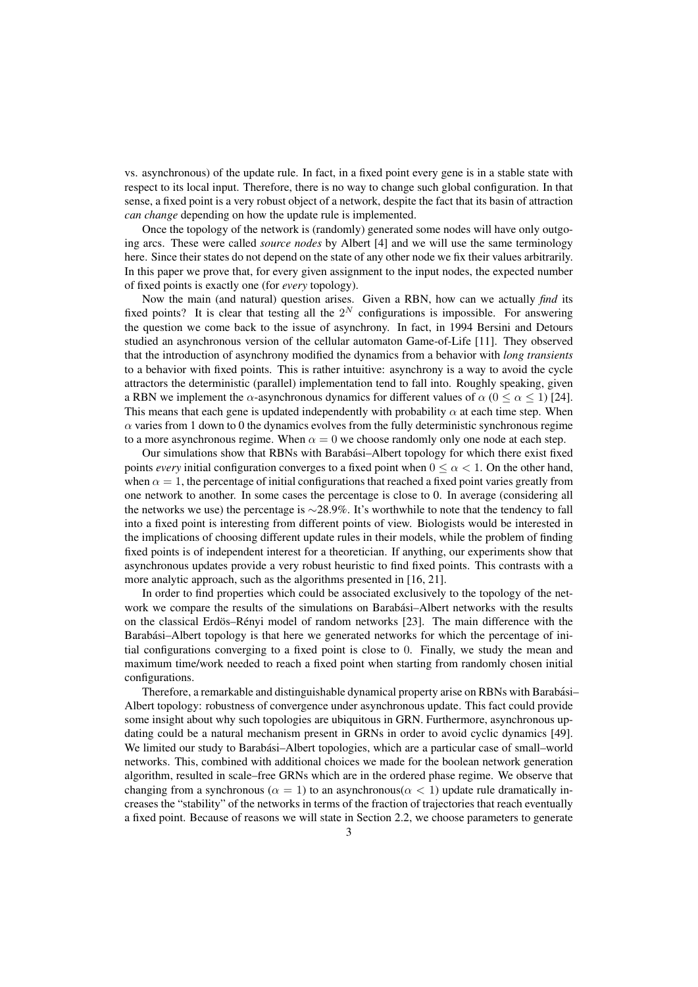vs. asynchronous) of the update rule. In fact, in a fixed point every gene is in a stable state with respect to its local input. Therefore, there is no way to change such global configuration. In that sense, a fixed point is a very robust object of a network, despite the fact that its basin of attraction *can change* depending on how the update rule is implemented.

Once the topology of the network is (randomly) generated some nodes will have only outgoing arcs. These were called *source nodes* by Albert [4] and we will use the same terminology here. Since their states do not depend on the state of any other node we fix their values arbitrarily. In this paper we prove that, for every given assignment to the input nodes, the expected number of fixed points is exactly one (for *every* topology).

Now the main (and natural) question arises. Given a RBN, how can we actually *find* its fixed points? It is clear that testing all the  $2^N$  configurations is impossible. For answering the question we come back to the issue of asynchrony. In fact, in 1994 Bersini and Detours studied an asynchronous version of the cellular automaton Game-of-Life [11]. They observed that the introduction of asynchrony modified the dynamics from a behavior with *long transients* to a behavior with fixed points. This is rather intuitive: asynchrony is a way to avoid the cycle attractors the deterministic (parallel) implementation tend to fall into. Roughly speaking, given a RBN we implement the  $\alpha$ -asynchronous dynamics for different values of  $\alpha$  ( $0 \le \alpha \le 1$ ) [24]. This means that each gene is updated independently with probability  $\alpha$  at each time step. When  $\alpha$  varies from 1 down to 0 the dynamics evolves from the fully deterministic synchronous regime to a more asynchronous regime. When  $\alpha = 0$  we choose randomly only one node at each step.

Our simulations show that RBNs with Barabási-Albert topology for which there exist fixed points *every* initial configuration converges to a fixed point when  $0 \le \alpha \le 1$ . On the other hand, when  $\alpha = 1$ , the percentage of initial configurations that reached a fixed point varies greatly from one network to another. In some cases the percentage is close to 0. In average (considering all the networks we use) the percentage is ∼28.9%. It's worthwhile to note that the tendency to fall into a fixed point is interesting from different points of view. Biologists would be interested in the implications of choosing different update rules in their models, while the problem of finding fixed points is of independent interest for a theoretician. If anything, our experiments show that asynchronous updates provide a very robust heuristic to find fixed points. This contrasts with a more analytic approach, such as the algorithms presented in [16, 21].

In order to find properties which could be associated exclusively to the topology of the network we compare the results of the simulations on Barabási-Albert networks with the results on the classical Erdös–Rényi model of random networks [23]. The main difference with the Barabási–Albert topology is that here we generated networks for which the percentage of initial configurations converging to a fixed point is close to 0. Finally, we study the mean and maximum time/work needed to reach a fixed point when starting from randomly chosen initial configurations.

Therefore, a remarkable and distinguishable dynamical property arise on RBNs with Barabási-Albert topology: robustness of convergence under asynchronous update. This fact could provide some insight about why such topologies are ubiquitous in GRN. Furthermore, asynchronous updating could be a natural mechanism present in GRNs in order to avoid cyclic dynamics [49]. We limited our study to Barabási-Albert topologies, which are a particular case of small-world networks. This, combined with additional choices we made for the boolean network generation algorithm, resulted in scale–free GRNs which are in the ordered phase regime. We observe that changing from a synchronous ( $\alpha = 1$ ) to an asynchronous( $\alpha < 1$ ) update rule dramatically increases the "stability" of the networks in terms of the fraction of trajectories that reach eventually a fixed point. Because of reasons we will state in Section 2.2, we choose parameters to generate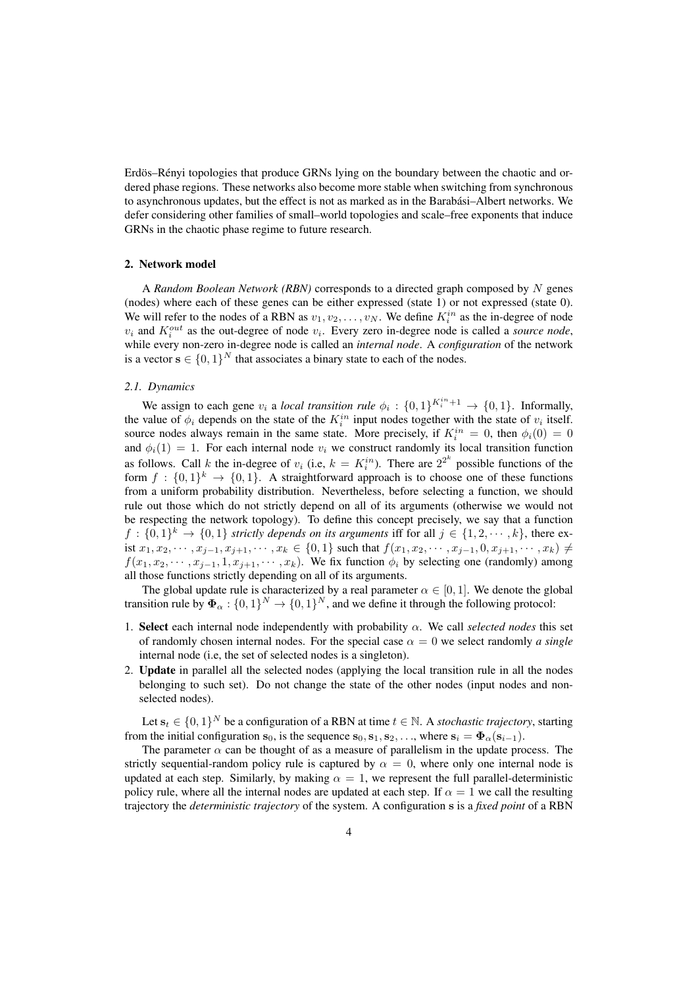Erdös–Rényi topologies that produce GRNs lying on the boundary between the chaotic and ordered phase regions. These networks also become more stable when switching from synchronous to asynchronous updates, but the effect is not as marked as in the Barabási–Albert networks. We defer considering other families of small–world topologies and scale–free exponents that induce GRNs in the chaotic phase regime to future research.

# 2. Network model

A *Random Boolean Network (RBN)* corresponds to a directed graph composed by N genes (nodes) where each of these genes can be either expressed (state 1) or not expressed (state 0). We will refer to the nodes of a RBN as  $v_1, v_2, \ldots, v_N$ . We define  $K_i^{in}$  as the in-degree of node  $v_i$  and  $K_i^{out}$  as the out-degree of node  $v_i$ . Every zero in-degree node is called a *source node*, while every non-zero in-degree node is called an *internal node*. A *configuration* of the network is a vector  $\mathbf{s} \in \{0,1\}^N$  that associates a binary state to each of the nodes.

## *2.1. Dynamics*

We assign to each gene  $v_i$  a *local transition rule*  $\phi_i : \{0,1\}^{K_i^{in}+1} \to \{0,1\}$ . Informally, the value of  $\phi_i$  depends on the state of the  $K_i^{in}$  input nodes together with the state of  $v_i$  itself. source nodes always remain in the same state. More precisely, if  $K_i^{in} = 0$ , then  $\phi_i(0) = 0$ and  $\phi_i(1) = 1$ . For each internal node  $v_i$  we construct randomly its local transition function as follows. Call k the in-degree of  $v_i$  (i.e,  $k = K_i^{in}$ ). There are  $2^{2^k}$  possible functions of the form  $f: \{0,1\}^k \to \{0,1\}$ . A straightforward approach is to choose one of these functions from a uniform probability distribution. Nevertheless, before selecting a function, we should rule out those which do not strictly depend on all of its arguments (otherwise we would not be respecting the network topology). To define this concept precisely, we say that a function  $f: \{0,1\}^k \to \{0,1\}$  strictly depends on its arguments iff for all  $j \in \{1,2,\dots,k\}$ , there exist  $x_1, x_2, \cdots, x_{i-1}, x_{i+1}, \cdots, x_k \in \{0, 1\}$  such that  $f(x_1, x_2, \cdots, x_{i-1}, 0, x_{i+1}, \cdots, x_k) \neq$  $f(x_1, x_2, \dots, x_{i-1}, 1, x_{i+1}, \dots, x_k)$ . We fix function  $\phi_i$  by selecting one (randomly) among all those functions strictly depending on all of its arguments.

The global update rule is characterized by a real parameter  $\alpha \in [0, 1]$ . We denote the global transition rule by  $\Phi_{\alpha} : \{0,1\}^N \to \{0,1\}^N$ , and we define it through the following protocol:

- 1. Select each internal node independently with probability  $\alpha$ . We call *selected nodes* this set of randomly chosen internal nodes. For the special case  $\alpha = 0$  we select randomly *a single* internal node (i.e, the set of selected nodes is a singleton).
- 2. Update in parallel all the selected nodes (applying the local transition rule in all the nodes belonging to such set). Do not change the state of the other nodes (input nodes and nonselected nodes).

Let  $\mathbf{s}_t \in \{0,1\}^N$  be a configuration of a RBN at time  $t \in \mathbb{N}$ . A *stochastic trajectory*, starting from the initial configuration  $s_0$ , is the sequence  $s_0, s_1, s_2, \ldots$ , where  $s_i = \Phi_\alpha(s_{i-1})$ .

The parameter  $\alpha$  can be thought of as a measure of parallelism in the update process. The strictly sequential-random policy rule is captured by  $\alpha = 0$ , where only one internal node is updated at each step. Similarly, by making  $\alpha = 1$ , we represent the full parallel-deterministic policy rule, where all the internal nodes are updated at each step. If  $\alpha = 1$  we call the resulting trajectory the *deterministic trajectory* of the system. A configuration s is a *fixed point* of a RBN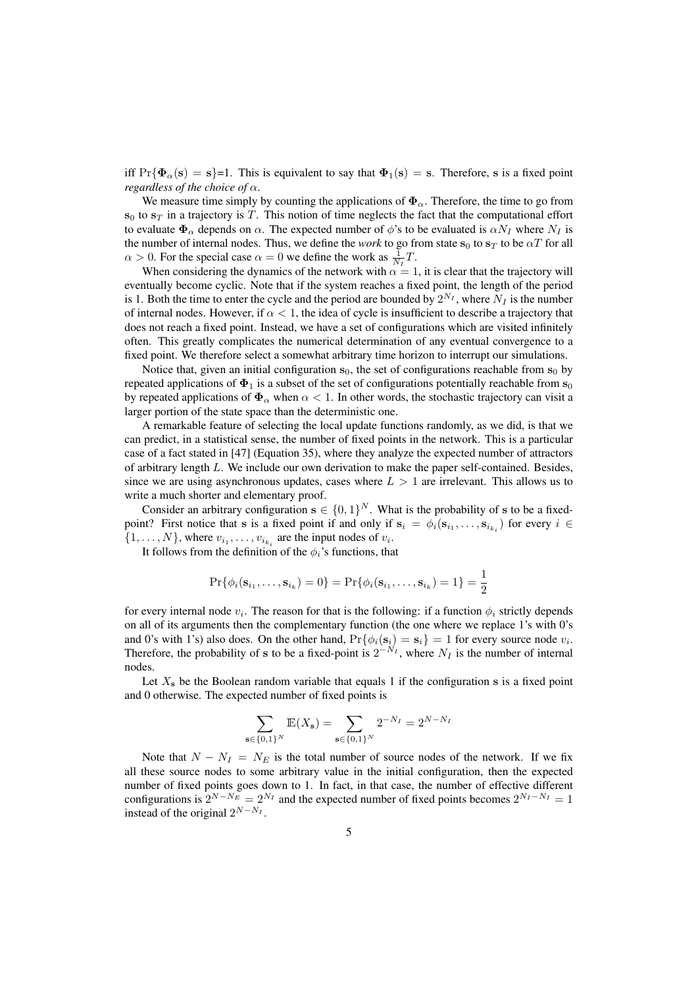iff  $Pr{\Phi_{\alpha}(s) = s}$ =1. This is equivalent to say that  $\Phi_1(s) = s$ . Therefore, s is a fixed point *regardless of the choice of* α.

We measure time simply by counting the applications of  $\Phi_{\alpha}$ . Therefore, the time to go from  $s_0$  to  $s_T$  in a trajectory is T. This notion of time neglects the fact that the computational effort to evaluate  $\Phi_{\alpha}$  depends on  $\alpha$ . The expected number of  $\phi$ 's to be evaluated is  $\alpha N_I$  where  $N_I$  is the number of internal nodes. Thus, we define the *work* to go from state  $s_0$  to  $s_T$  to be  $\alpha T$  for all  $\alpha > 0$ . For the special case  $\alpha = 0$  we define the work as  $\frac{1}{N_I}T$ .

When considering the dynamics of the network with  $\alpha = 1$ , it is clear that the trajectory will eventually become cyclic. Note that if the system reaches a fixed point, the length of the period is 1. Both the time to enter the cycle and the period are bounded by  $2^{N_I}$ , where  $N_I$  is the number of internal nodes. However, if  $\alpha < 1$ , the idea of cycle is insufficient to describe a trajectory that does not reach a fixed point. Instead, we have a set of configurations which are visited infinitely often. This greatly complicates the numerical determination of any eventual convergence to a fixed point. We therefore select a somewhat arbitrary time horizon to interrupt our simulations.

Notice that, given an initial configuration  $s_0$ , the set of configurations reachable from  $s_0$  by repeated applications of  $\Phi_1$  is a subset of the set of configurations potentially reachable from  $s_0$ by repeated applications of  $\Phi_{\alpha}$  when  $\alpha < 1$ . In other words, the stochastic trajectory can visit a larger portion of the state space than the deterministic one.

A remarkable feature of selecting the local update functions randomly, as we did, is that we can predict, in a statistical sense, the number of fixed points in the network. This is a particular case of a fact stated in [47] (Equation 35), where they analyze the expected number of attractors of arbitrary length L. We include our own derivation to make the paper self-contained. Besides, since we are using asynchronous updates, cases where  $L > 1$  are irrelevant. This allows us to write a much shorter and elementary proof.

Consider an arbitrary configuration  $\mathbf{s} \in \{0,1\}^N$ . What is the probability of s to be a fixedpoint? First notice that s is a fixed point if and only if  $s_i = \phi_i(s_{i_1}, \dots, s_{i_{k_i}})$  for every  $i \in$  $\{1, \ldots, N\}$ , where  $v_{i_1}, \ldots, v_{i_{k_i}}$  are the input nodes of  $v_i$ .

It follows from the definition of the  $\phi_i$ 's functions, that

$$
\Pr\{\phi_i(\mathbf{s}_{i_1},\ldots,\mathbf{s}_{i_k})=0\}=\Pr\{\phi_i(\mathbf{s}_{i_1},\ldots,\mathbf{s}_{i_k})=1\}=\frac{1}{2}
$$

for every internal node  $v_i$ . The reason for that is the following: if a function  $\phi_i$  strictly depends on all of its arguments then the complementary function (the one where we replace 1's with 0's and 0's with 1's) also does. On the other hand,  $Pr{\phi_i(\mathbf{s}_i) = \mathbf{s}_i} = 1$  for every source node  $v_i$ . Therefore, the probability of s to be a fixed-point is  $2^{-N_I}$ , where  $N_I$  is the number of internal nodes.

Let  $X_s$  be the Boolean random variable that equals 1 if the configuration s is a fixed point and 0 otherwise. The expected number of fixed points is

$$
\sum_{\mathbf{s}\in\{0,1\}^N} \mathbb{E}(X_{\mathbf{s}}) = \sum_{\mathbf{s}\in\{0,1\}^N} 2^{-N_I} = 2^{N-N_I}
$$

Note that  $N - N_I = N_E$  is the total number of source nodes of the network. If we fix all these source nodes to some arbitrary value in the initial configuration, then the expected number of fixed points goes down to 1. In fact, in that case, the number of effective different configurations is  $2^{N-N_E} = 2^{N_I}$  and the expected number of fixed points becomes  $2^{N_I - N_I} = 1$ instead of the original  $2^{N-N_I}$ .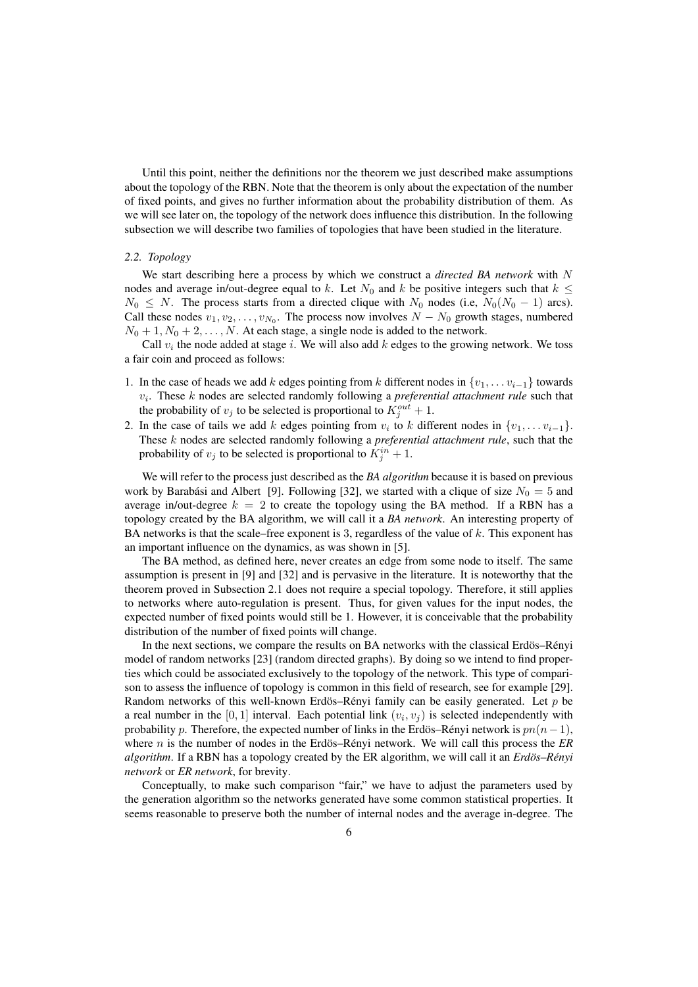Until this point, neither the definitions nor the theorem we just described make assumptions about the topology of the RBN. Note that the theorem is only about the expectation of the number of fixed points, and gives no further information about the probability distribution of them. As we will see later on, the topology of the network does influence this distribution. In the following subsection we will describe two families of topologies that have been studied in the literature.

#### *2.2. Topology*

We start describing here a process by which we construct a *directed BA network* with N nodes and average in/out-degree equal to k. Let  $N_0$  and k be positive integers such that  $k \leq$  $N_0 \leq N$ . The process starts from a directed clique with  $N_0$  nodes (i.e,  $N_0(N_0 - 1)$  arcs). Call these nodes  $v_1, v_2, \ldots, v_{N_0}$ . The process now involves  $N - N_0$  growth stages, numbered  $N_0 + 1$ ,  $N_0 + 2$ , ..., N. At each stage, a single node is added to the network.

Call  $v_i$  the node added at stage i. We will also add k edges to the growing network. We toss a fair coin and proceed as follows:

- 1. In the case of heads we add k edges pointing from k different nodes in  $\{v_1, \ldots v_{i-1}\}$  towards  $v_i$ . These  $k$  nodes are selected randomly following a *preferential attachment rule* such that the probability of  $v_j$  to be selected is proportional to  $K_j^{out} + 1$ .
- 2. In the case of tails we add k edges pointing from  $v_i$  to k different nodes in  $\{v_1, \ldots v_{i-1}\}.$ These k nodes are selected randomly following a *preferential attachment rule*, such that the probability of  $v_j$  to be selected is proportional to  $K_j^{in} + 1$ .

We will refer to the process just described as the *BA algorithm* because it is based on previous work by Barabási and Albert [9]. Following [32], we started with a clique of size  $N_0 = 5$  and average in/out-degree  $k = 2$  to create the topology using the BA method. If a RBN has a topology created by the BA algorithm, we will call it a *BA network*. An interesting property of BA networks is that the scale–free exponent is 3, regardless of the value of  $k$ . This exponent has an important influence on the dynamics, as was shown in [5].

The BA method, as defined here, never creates an edge from some node to itself. The same assumption is present in [9] and [32] and is pervasive in the literature. It is noteworthy that the theorem proved in Subsection 2.1 does not require a special topology. Therefore, it still applies to networks where auto-regulation is present. Thus, for given values for the input nodes, the expected number of fixed points would still be 1. However, it is conceivable that the probability distribution of the number of fixed points will change.

In the next sections, we compare the results on BA networks with the classical Erdös–Rényi model of random networks [23] (random directed graphs). By doing so we intend to find properties which could be associated exclusively to the topology of the network. This type of comparison to assess the influence of topology is common in this field of research, see for example [29]. Random networks of this well-known Erdös–Rényi family can be easily generated. Let  $p$  be a real number in the [0, 1] interval. Each potential link  $(v_i, v_j)$  is selected independently with probability p. Therefore, the expected number of links in the Erdös–Rényi network is  $pn(n-1)$ , where *n* is the number of nodes in the Erdös–Rényi network. We will call this process the  $\overline{ER}$ *algorithm*. If a RBN has a topology created by the ER algorithm, we will call it an *Erdös–Rényi network* or *ER network*, for brevity.

Conceptually, to make such comparison "fair," we have to adjust the parameters used by the generation algorithm so the networks generated have some common statistical properties. It seems reasonable to preserve both the number of internal nodes and the average in-degree. The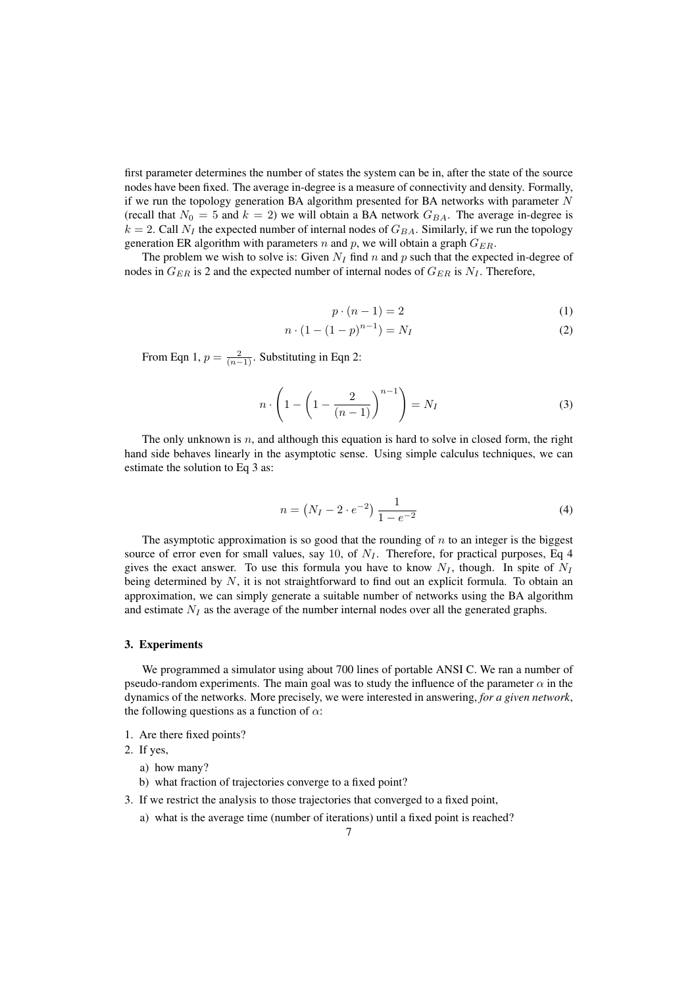first parameter determines the number of states the system can be in, after the state of the source nodes have been fixed. The average in-degree is a measure of connectivity and density. Formally, if we run the topology generation BA algorithm presented for BA networks with parameter  $N$ (recall that  $N_0 = 5$  and  $k = 2$ ) we will obtain a BA network  $G_{BA}$ . The average in-degree is  $k = 2$ . Call  $N_I$  the expected number of internal nodes of  $G_{BA}$ . Similarly, if we run the topology generation ER algorithm with parameters n and p, we will obtain a graph  $G_{ER}$ .

The problem we wish to solve is: Given  $N_I$  find n and p such that the expected in-degree of nodes in  $G_{ER}$  is 2 and the expected number of internal nodes of  $G_{ER}$  is  $N_I$ . Therefore,

$$
p \cdot (n-1) = 2 \tag{1}
$$

$$
n \cdot (1 - (1 - p)^{n-1}) = N_I \tag{2}
$$

From Eqn 1,  $p = \frac{2}{(n-1)}$ . Substituting in Eqn 2:

$$
n \cdot \left(1 - \left(1 - \frac{2}{(n-1)}\right)^{n-1}\right) = N_I \tag{3}
$$

The only unknown is  $n$ , and although this equation is hard to solve in closed form, the right hand side behaves linearly in the asymptotic sense. Using simple calculus techniques, we can estimate the solution to Eq 3 as:

$$
n = (N_I - 2 \cdot e^{-2}) \frac{1}{1 - e^{-2}}
$$
 (4)

The asymptotic approximation is so good that the rounding of  $n$  to an integer is the biggest source of error even for small values, say 10, of  $N_I$ . Therefore, for practical purposes, Eq 4 gives the exact answer. To use this formula you have to know  $N_I$ , though. In spite of  $N_I$ being determined by  $N$ , it is not straightforward to find out an explicit formula. To obtain an approximation, we can simply generate a suitable number of networks using the BA algorithm and estimate  $N_I$  as the average of the number internal nodes over all the generated graphs.

#### 3. Experiments

We programmed a simulator using about 700 lines of portable ANSI C. We ran a number of pseudo-random experiments. The main goal was to study the influence of the parameter  $\alpha$  in the dynamics of the networks. More precisely, we were interested in answering, *for a given network*, the following questions as a function of  $\alpha$ :

- 1. Are there fixed points?
- 2. If yes,
	- a) how many?
	- b) what fraction of trajectories converge to a fixed point?
- 3. If we restrict the analysis to those trajectories that converged to a fixed point,
	- a) what is the average time (number of iterations) until a fixed point is reached?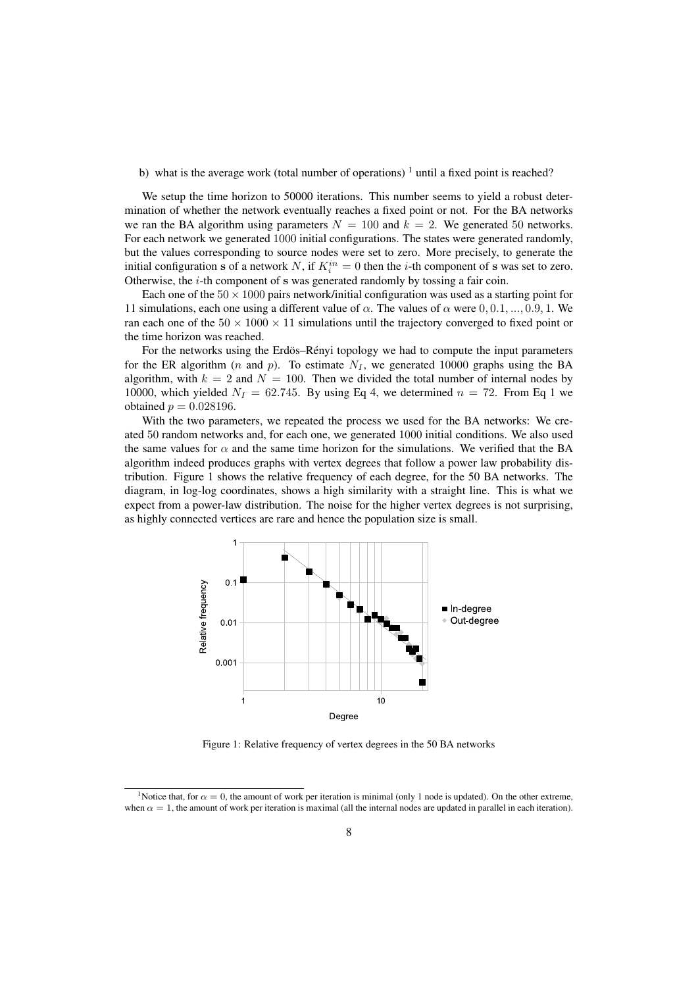## b) what is the average work (total number of operations)  $\frac{1}{1}$  until a fixed point is reached?

We setup the time horizon to 50000 iterations. This number seems to yield a robust determination of whether the network eventually reaches a fixed point or not. For the BA networks we ran the BA algorithm using parameters  $N = 100$  and  $k = 2$ . We generated 50 networks. For each network we generated 1000 initial configurations. The states were generated randomly, but the values corresponding to source nodes were set to zero. More precisely, to generate the initial configuration s of a network N, if  $K_i^{in} = 0$  then the *i*-th component of s was set to zero. Otherwise, the  $i$ -th component of s was generated randomly by tossing a fair coin.

Each one of the  $50 \times 1000$  pairs network/initial configuration was used as a starting point for 11 simulations, each one using a different value of  $\alpha$ . The values of  $\alpha$  were 0, 0.1, ..., 0.9, 1. We ran each one of the  $50 \times 1000 \times 11$  simulations until the trajectory converged to fixed point or the time horizon was reached.

For the networks using the Erdös–Rényi topology we had to compute the input parameters for the ER algorithm (n and p). To estimate  $N<sub>I</sub>$ , we generated 10000 graphs using the BA algorithm, with  $k = 2$  and  $N = 100$ . Then we divided the total number of internal nodes by 10000, which yielded  $N_I = 62.745$ . By using Eq 4, we determined  $n = 72$ . From Eq 1 we obtained  $p = 0.028196$ .

With the two parameters, we repeated the process we used for the BA networks: We created 50 random networks and, for each one, we generated 1000 initial conditions. We also used the same values for  $\alpha$  and the same time horizon for the simulations. We verified that the BA algorithm indeed produces graphs with vertex degrees that follow a power law probability distribution. Figure 1 shows the relative frequency of each degree, for the 50 BA networks. The diagram, in log-log coordinates, shows a high similarity with a straight line. This is what we expect from a power-law distribution. The noise for the higher vertex degrees is not surprising, as highly connected vertices are rare and hence the population size is small.



Figure 1: Relative frequency of vertex degrees in the 50 BA networks

<sup>&</sup>lt;sup>1</sup>Notice that, for  $\alpha = 0$ , the amount of work per iteration is minimal (only 1 node is updated). On the other extreme, when  $\alpha = 1$ , the amount of work per iteration is maximal (all the internal nodes are updated in parallel in each iteration).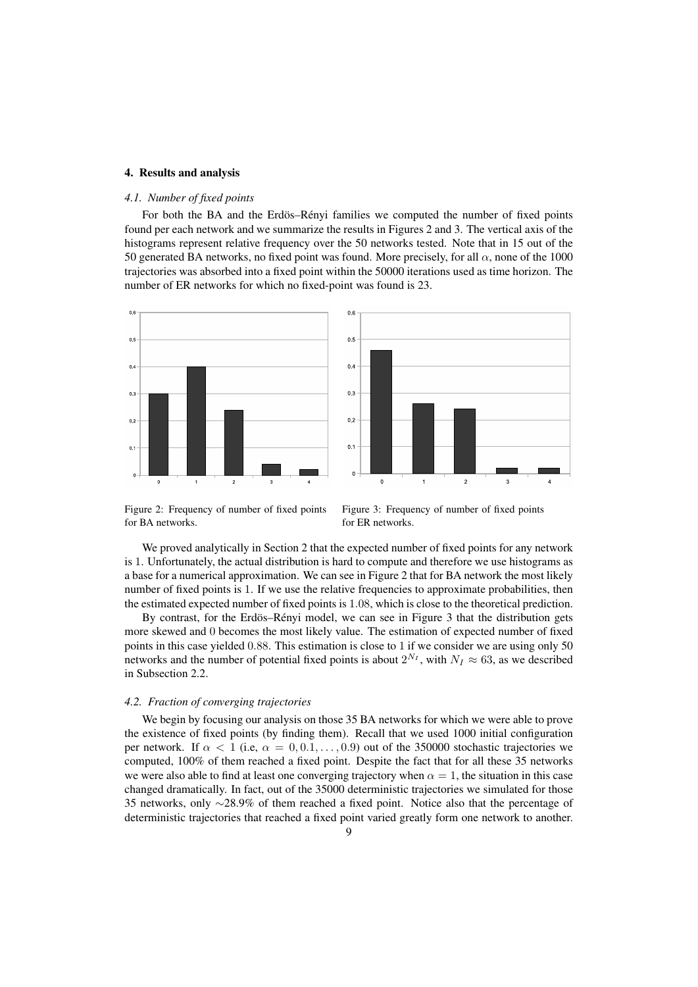### 4. Results and analysis

## *4.1. Number of fixed points*

For both the BA and the Erdös–Rényi families we computed the number of fixed points found per each network and we summarize the results in Figures 2 and 3. The vertical axis of the histograms represent relative frequency over the 50 networks tested. Note that in 15 out of the 50 generated BA networks, no fixed point was found. More precisely, for all  $\alpha$ , none of the 1000 trajectories was absorbed into a fixed point within the 50000 iterations used as time horizon. The number of ER networks for which no fixed-point was found is 23.



Figure 2: Frequency of number of fixed points for BA networks.

Figure 3: Frequency of number of fixed points for ER networks.

We proved analytically in Section 2 that the expected number of fixed points for any network is 1. Unfortunately, the actual distribution is hard to compute and therefore we use histograms as a base for a numerical approximation. We can see in Figure 2 that for BA network the most likely number of fixed points is 1. If we use the relative frequencies to approximate probabilities, then the estimated expected number of fixed points is 1.08, which is close to the theoretical prediction.

By contrast, for the Erdös–Renyi model, we can see in Figure 3 that the distribution gets more skewed and 0 becomes the most likely value. The estimation of expected number of fixed points in this case yielded 0.88. This estimation is close to 1 if we consider we are using only 50 networks and the number of potential fixed points is about  $2^{N_I}$ , with  $N_I \approx 63$ , as we described in Subsection 2.2.

## *4.2. Fraction of converging trajectories*

We begin by focusing our analysis on those 35 BA networks for which we were able to prove the existence of fixed points (by finding them). Recall that we used 1000 initial configuration per network. If  $\alpha < 1$  (i.e,  $\alpha = 0, 0.1, \ldots, 0.9$ ) out of the 350000 stochastic trajectories we computed, 100% of them reached a fixed point. Despite the fact that for all these 35 networks we were also able to find at least one converging trajectory when  $\alpha = 1$ , the situation in this case changed dramatically. In fact, out of the 35000 deterministic trajectories we simulated for those 35 networks, only ∼28.9% of them reached a fixed point. Notice also that the percentage of deterministic trajectories that reached a fixed point varied greatly form one network to another.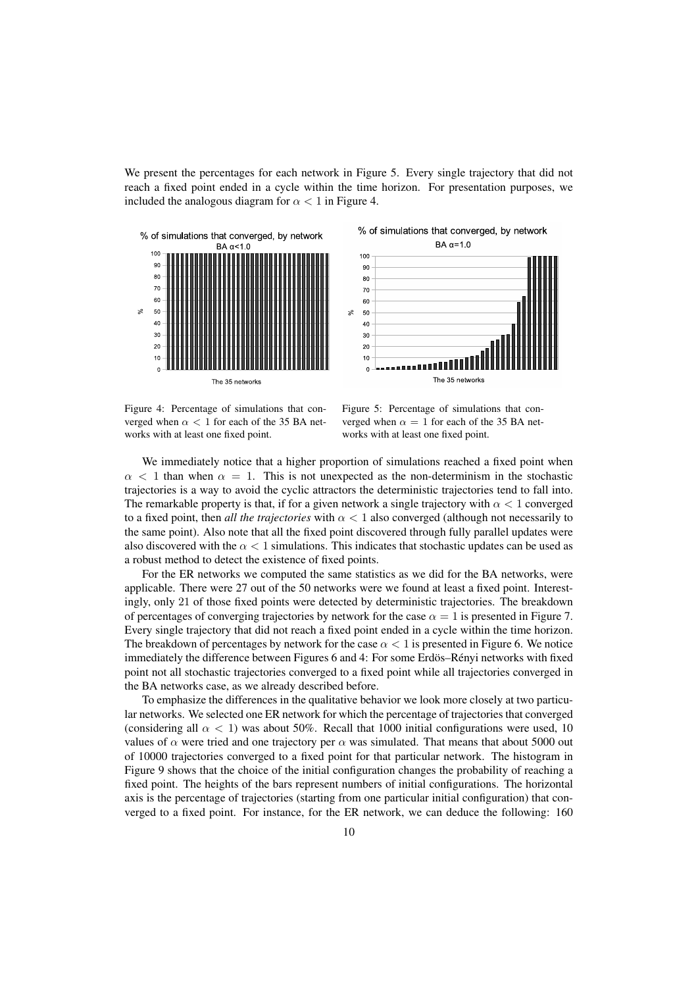We present the percentages for each network in Figure 5. Every single trajectory that did not reach a fixed point ended in a cycle within the time horizon. For presentation purposes, we included the analogous diagram for  $\alpha < 1$  in Figure 4.





Figure 4: Percentage of simulations that converged when  $\alpha$  < 1 for each of the 35 BA networks with at least one fixed point.

Figure 5: Percentage of simulations that converged when  $\alpha = 1$  for each of the 35 BA networks with at least one fixed point.

We immediately notice that a higher proportion of simulations reached a fixed point when  $\alpha$  < 1 than when  $\alpha$  = 1. This is not unexpected as the non-determinism in the stochastic trajectories is a way to avoid the cyclic attractors the deterministic trajectories tend to fall into. The remarkable property is that, if for a given network a single trajectory with  $\alpha < 1$  converged to a fixed point, then *all the trajectories* with  $\alpha < 1$  also converged (although not necessarily to the same point). Also note that all the fixed point discovered through fully parallel updates were also discovered with the  $\alpha < 1$  simulations. This indicates that stochastic updates can be used as a robust method to detect the existence of fixed points.

For the ER networks we computed the same statistics as we did for the BA networks, were applicable. There were 27 out of the 50 networks were we found at least a fixed point. Interestingly, only 21 of those fixed points were detected by deterministic trajectories. The breakdown of percentages of converging trajectories by network for the case  $\alpha = 1$  is presented in Figure 7. Every single trajectory that did not reach a fixed point ended in a cycle within the time horizon. The breakdown of percentages by network for the case  $\alpha < 1$  is presented in Figure 6. We notice immediately the difference between Figures 6 and 4: For some Erdös–Rényi networks with fixed point not all stochastic trajectories converged to a fixed point while all trajectories converged in the BA networks case, as we already described before.

To emphasize the differences in the qualitative behavior we look more closely at two particular networks. We selected one ER network for which the percentage of trajectories that converged (considering all  $\alpha$  < 1) was about 50%. Recall that 1000 initial configurations were used, 10 values of  $\alpha$  were tried and one trajectory per  $\alpha$  was simulated. That means that about 5000 out of 10000 trajectories converged to a fixed point for that particular network. The histogram in Figure 9 shows that the choice of the initial configuration changes the probability of reaching a fixed point. The heights of the bars represent numbers of initial configurations. The horizontal axis is the percentage of trajectories (starting from one particular initial configuration) that converged to a fixed point. For instance, for the ER network, we can deduce the following: 160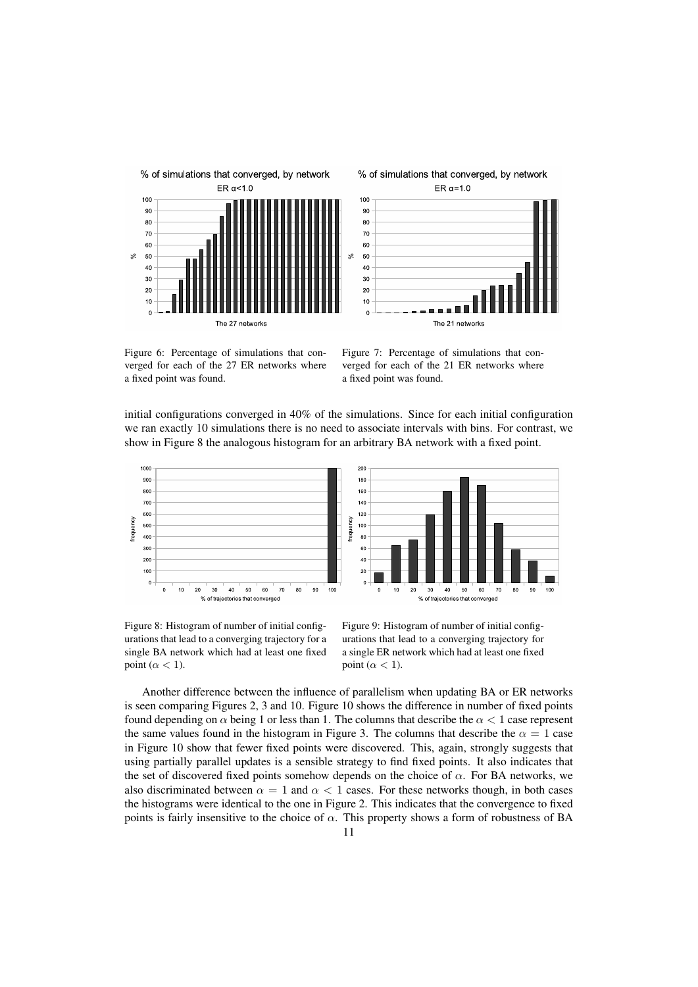



Figure 6: Percentage of simulations that converged for each of the 27 ER networks where a fixed point was found.

Figure 7: Percentage of simulations that converged for each of the 21 ER networks where a fixed point was found.

initial configurations converged in 40% of the simulations. Since for each initial configuration we ran exactly 10 simulations there is no need to associate intervals with bins. For contrast, we show in Figure 8 the analogous histogram for an arbitrary BA network with a fixed point.



Figure 8: Histogram of number of initial configurations that lead to a converging trajectory for a single BA network which had at least one fixed point  $(\alpha < 1)$ .

Figure 9: Histogram of number of initial configurations that lead to a converging trajectory for a single ER network which had at least one fixed point ( $\alpha$  < 1).

Another difference between the influence of parallelism when updating BA or ER networks is seen comparing Figures 2, 3 and 10. Figure 10 shows the difference in number of fixed points found depending on  $\alpha$  being 1 or less than 1. The columns that describe the  $\alpha < 1$  case represent the same values found in the histogram in Figure 3. The columns that describe the  $\alpha = 1$  case in Figure 10 show that fewer fixed points were discovered. This, again, strongly suggests that using partially parallel updates is a sensible strategy to find fixed points. It also indicates that the set of discovered fixed points somehow depends on the choice of  $\alpha$ . For BA networks, we also discriminated between  $\alpha = 1$  and  $\alpha < 1$  cases. For these networks though, in both cases the histograms were identical to the one in Figure 2. This indicates that the convergence to fixed points is fairly insensitive to the choice of  $\alpha$ . This property shows a form of robustness of BA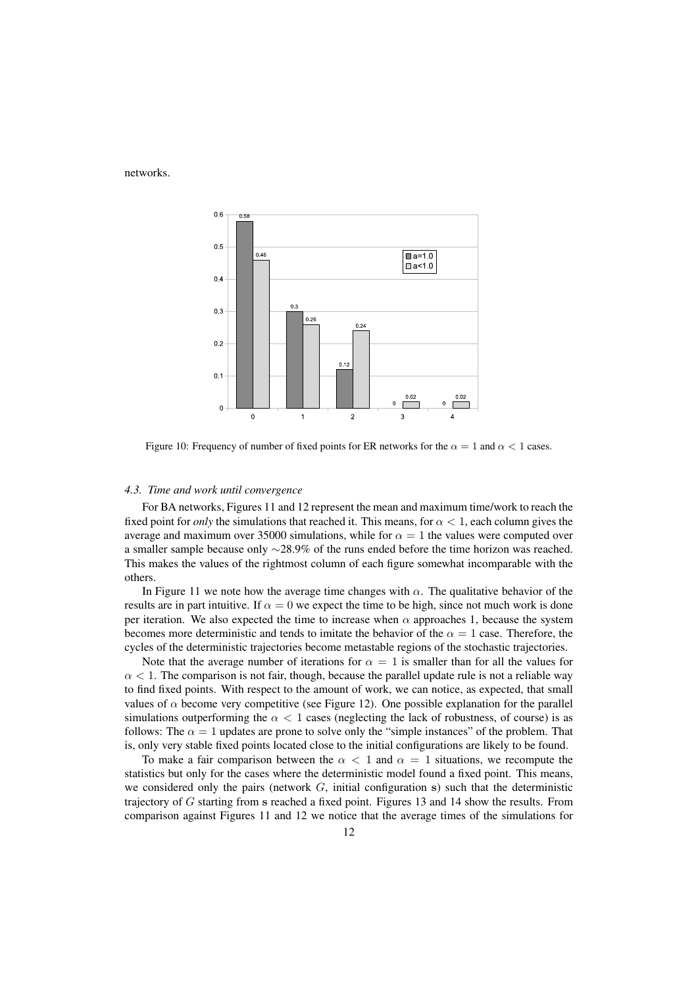networks.



Figure 10: Frequency of number of fixed points for ER networks for the  $\alpha = 1$  and  $\alpha < 1$  cases.

#### *4.3. Time and work until convergence*

For BA networks, Figures 11 and 12 represent the mean and maximum time/work to reach the fixed point for *only* the simulations that reached it. This means, for  $\alpha < 1$ , each column gives the average and maximum over 35000 simulations, while for  $\alpha = 1$  the values were computed over a smaller sample because only ∼28.9% of the runs ended before the time horizon was reached. This makes the values of the rightmost column of each figure somewhat incomparable with the others.

In Figure 11 we note how the average time changes with  $\alpha$ . The qualitative behavior of the results are in part intuitive. If  $\alpha = 0$  we expect the time to be high, since not much work is done per iteration. We also expected the time to increase when  $\alpha$  approaches 1, because the system becomes more deterministic and tends to imitate the behavior of the  $\alpha = 1$  case. Therefore, the cycles of the deterministic trajectories become metastable regions of the stochastic trajectories.

Note that the average number of iterations for  $\alpha = 1$  is smaller than for all the values for  $\alpha$  < 1. The comparison is not fair, though, because the parallel update rule is not a reliable way to find fixed points. With respect to the amount of work, we can notice, as expected, that small values of  $\alpha$  become very competitive (see Figure 12). One possible explanation for the parallel simulations outperforming the  $\alpha < 1$  cases (neglecting the lack of robustness, of course) is as follows: The  $\alpha = 1$  updates are prone to solve only the "simple instances" of the problem. That is, only very stable fixed points located close to the initial configurations are likely to be found.

To make a fair comparison between the  $\alpha < 1$  and  $\alpha = 1$  situations, we recompute the statistics but only for the cases where the deterministic model found a fixed point. This means, we considered only the pairs (network  $G$ , initial configuration s) such that the deterministic trajectory of G starting from s reached a fixed point. Figures 13 and 14 show the results. From comparison against Figures 11 and 12 we notice that the average times of the simulations for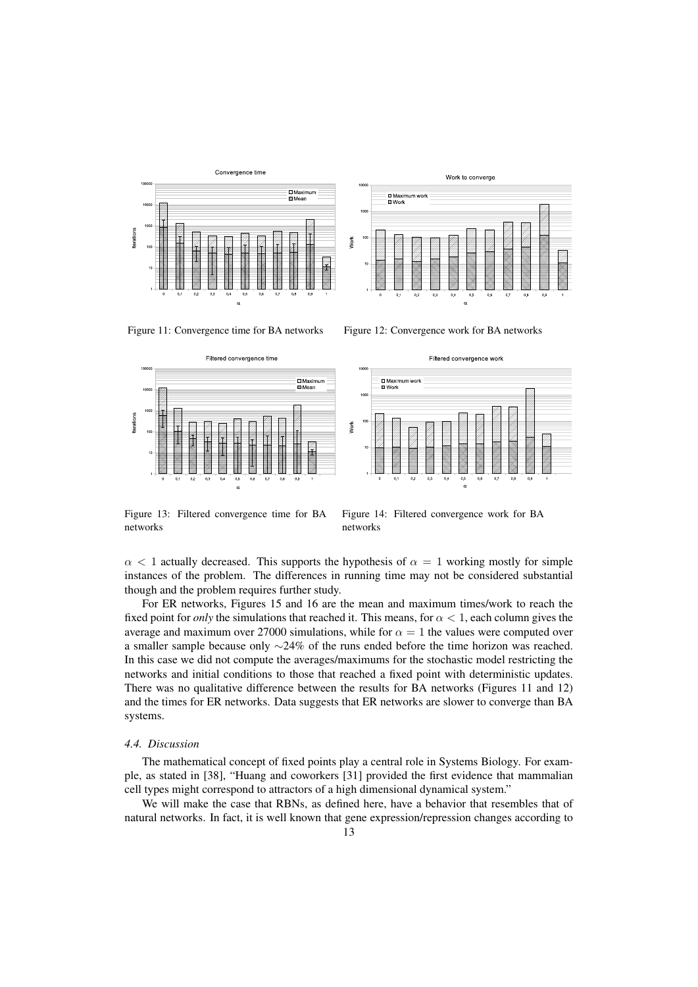









Figure 13: Filtered convergence time for BA networks

Figure 14: Filtered convergence work for BA networks

 $\alpha$  < 1 actually decreased. This supports the hypothesis of  $\alpha$  = 1 working mostly for simple instances of the problem. The differences in running time may not be considered substantial though and the problem requires further study.

For ER networks, Figures 15 and 16 are the mean and maximum times/work to reach the fixed point for *only* the simulations that reached it. This means, for  $\alpha < 1$ , each column gives the average and maximum over 27000 simulations, while for  $\alpha = 1$  the values were computed over a smaller sample because only ∼24% of the runs ended before the time horizon was reached. In this case we did not compute the averages/maximums for the stochastic model restricting the networks and initial conditions to those that reached a fixed point with deterministic updates. There was no qualitative difference between the results for BA networks (Figures 11 and 12) and the times for ER networks. Data suggests that ER networks are slower to converge than BA systems.

# *4.4. Discussion*

The mathematical concept of fixed points play a central role in Systems Biology. For example, as stated in [38], "Huang and coworkers [31] provided the first evidence that mammalian cell types might correspond to attractors of a high dimensional dynamical system."

We will make the case that RBNs, as defined here, have a behavior that resembles that of natural networks. In fact, it is well known that gene expression/repression changes according to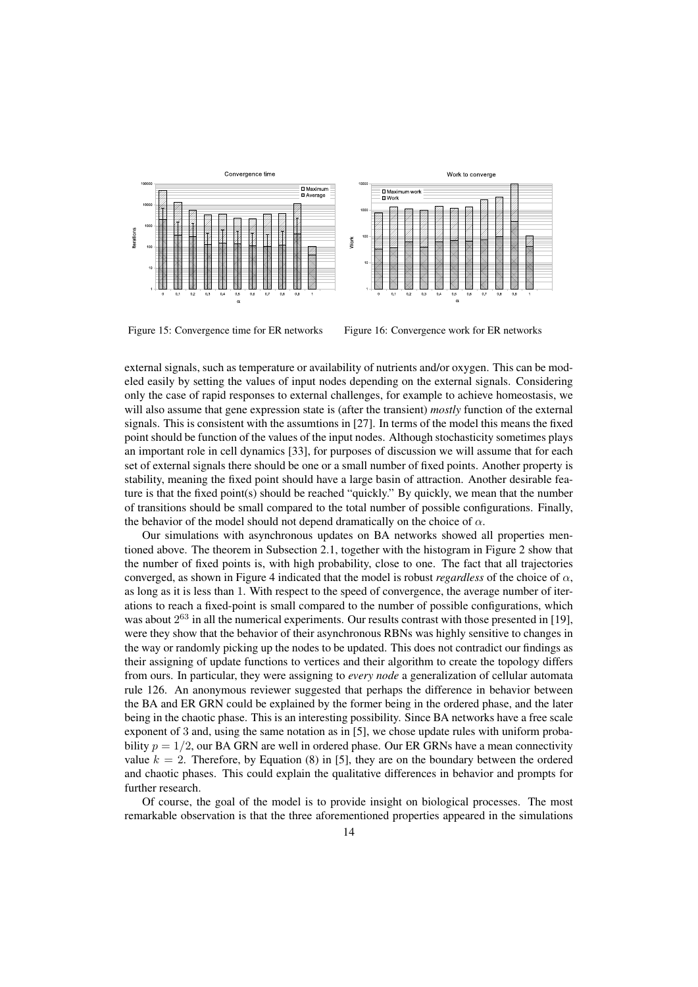



Figure 15: Convergence time for ER networks Figure 16: Convergence work for ER networks

external signals, such as temperature or availability of nutrients and/or oxygen. This can be modeled easily by setting the values of input nodes depending on the external signals. Considering only the case of rapid responses to external challenges, for example to achieve homeostasis, we will also assume that gene expression state is (after the transient) *mostly* function of the external signals. This is consistent with the assumtions in [27]. In terms of the model this means the fixed point should be function of the values of the input nodes. Although stochasticity sometimes plays an important role in cell dynamics [33], for purposes of discussion we will assume that for each set of external signals there should be one or a small number of fixed points. Another property is stability, meaning the fixed point should have a large basin of attraction. Another desirable feature is that the fixed point(s) should be reached "quickly." By quickly, we mean that the number of transitions should be small compared to the total number of possible configurations. Finally, the behavior of the model should not depend dramatically on the choice of  $\alpha$ .

Our simulations with asynchronous updates on BA networks showed all properties mentioned above. The theorem in Subsection 2.1, together with the histogram in Figure 2 show that the number of fixed points is, with high probability, close to one. The fact that all trajectories converged, as shown in Figure 4 indicated that the model is robust *regardless* of the choice of  $\alpha$ , as long as it is less than 1. With respect to the speed of convergence, the average number of iterations to reach a fixed-point is small compared to the number of possible configurations, which was about  $2^{63}$  in all the numerical experiments. Our results contrast with those presented in [19], were they show that the behavior of their asynchronous RBNs was highly sensitive to changes in the way or randomly picking up the nodes to be updated. This does not contradict our findings as their assigning of update functions to vertices and their algorithm to create the topology differs from ours. In particular, they were assigning to *every node* a generalization of cellular automata rule 126. An anonymous reviewer suggested that perhaps the difference in behavior between the BA and ER GRN could be explained by the former being in the ordered phase, and the later being in the chaotic phase. This is an interesting possibility. Since BA networks have a free scale exponent of 3 and, using the same notation as in [5], we chose update rules with uniform probability  $p = 1/2$ , our BA GRN are well in ordered phase. Our ER GRNs have a mean connectivity value  $k = 2$ . Therefore, by Equation (8) in [5], they are on the boundary between the ordered and chaotic phases. This could explain the qualitative differences in behavior and prompts for further research.

Of course, the goal of the model is to provide insight on biological processes. The most remarkable observation is that the three aforementioned properties appeared in the simulations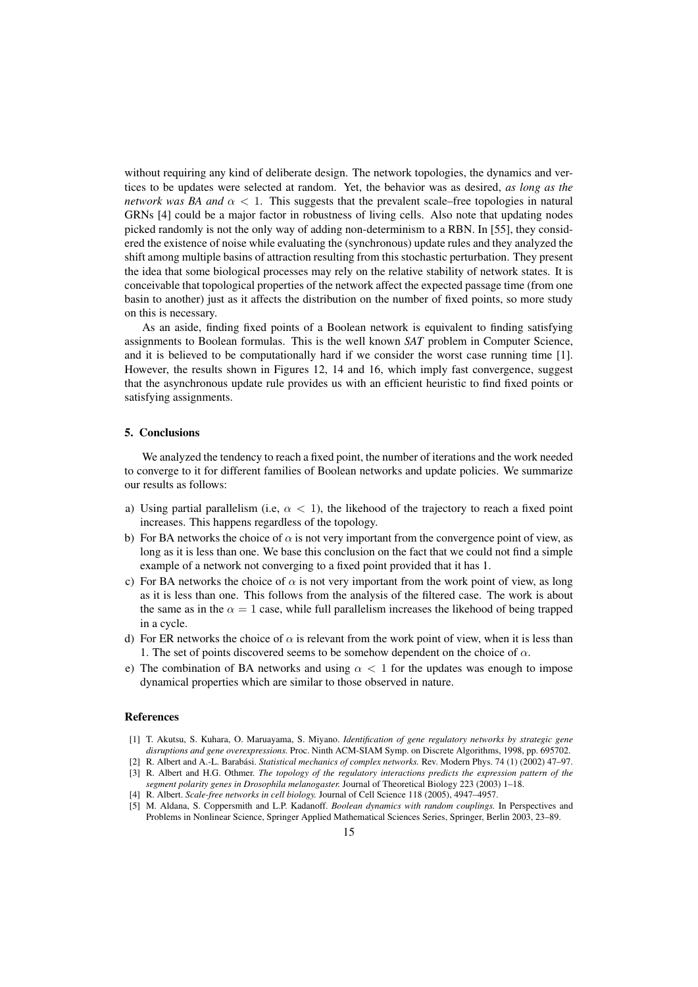without requiring any kind of deliberate design. The network topologies, the dynamics and vertices to be updates were selected at random. Yet, the behavior was as desired, *as long as the network was BA and*  $\alpha < 1$ . This suggests that the prevalent scale–free topologies in natural GRNs [4] could be a major factor in robustness of living cells. Also note that updating nodes picked randomly is not the only way of adding non-determinism to a RBN. In [55], they considered the existence of noise while evaluating the (synchronous) update rules and they analyzed the shift among multiple basins of attraction resulting from this stochastic perturbation. They present the idea that some biological processes may rely on the relative stability of network states. It is conceivable that topological properties of the network affect the expected passage time (from one basin to another) just as it affects the distribution on the number of fixed points, so more study on this is necessary.

As an aside, finding fixed points of a Boolean network is equivalent to finding satisfying assignments to Boolean formulas. This is the well known *SAT* problem in Computer Science, and it is believed to be computationally hard if we consider the worst case running time [1]. However, the results shown in Figures 12, 14 and 16, which imply fast convergence, suggest that the asynchronous update rule provides us with an efficient heuristic to find fixed points or satisfying assignments.

# 5. Conclusions

We analyzed the tendency to reach a fixed point, the number of iterations and the work needed to converge to it for different families of Boolean networks and update policies. We summarize our results as follows:

- a) Using partial parallelism (i.e,  $\alpha$  < 1), the likehood of the trajectory to reach a fixed point increases. This happens regardless of the topology.
- b) For BA networks the choice of  $\alpha$  is not very important from the convergence point of view, as long as it is less than one. We base this conclusion on the fact that we could not find a simple example of a network not converging to a fixed point provided that it has 1.
- c) For BA networks the choice of  $\alpha$  is not very important from the work point of view, as long as it is less than one. This follows from the analysis of the filtered case. The work is about the same as in the  $\alpha = 1$  case, while full parallelism increases the likehood of being trapped in a cycle.
- d) For ER networks the choice of  $\alpha$  is relevant from the work point of view, when it is less than 1. The set of points discovered seems to be somehow dependent on the choice of  $\alpha$ .
- e) The combination of BA networks and using  $\alpha < 1$  for the updates was enough to impose dynamical properties which are similar to those observed in nature.

## References

- [1] T. Akutsu, S. Kuhara, O. Maruayama, S. Miyano. *Identification of gene regulatory networks by strategic gene disruptions and gene overexpressions.* Proc. Ninth ACM-SIAM Symp. on Discrete Algorithms, 1998, pp. 695702.
- [2] R. Albert and A.-L. Barabási. *Statistical mechanics of complex networks*. Rev. Modern Phys. 74 (1) (2002) 47-97.
- [3] R. Albert and H.G. Othmer. *The topology of the regulatory interactions predicts the expression pattern of the segment polarity genes in Drosophila melanogaster.* Journal of Theoretical Biology 223 (2003) 1–18.
- [4] R. Albert. *Scale-free networks in cell biology.* Journal of Cell Science 118 (2005), 4947–4957.
- [5] M. Aldana, S. Coppersmith and L.P. Kadanoff. *Boolean dynamics with random couplings.* In Perspectives and Problems in Nonlinear Science, Springer Applied Mathematical Sciences Series, Springer, Berlin 2003, 23–89.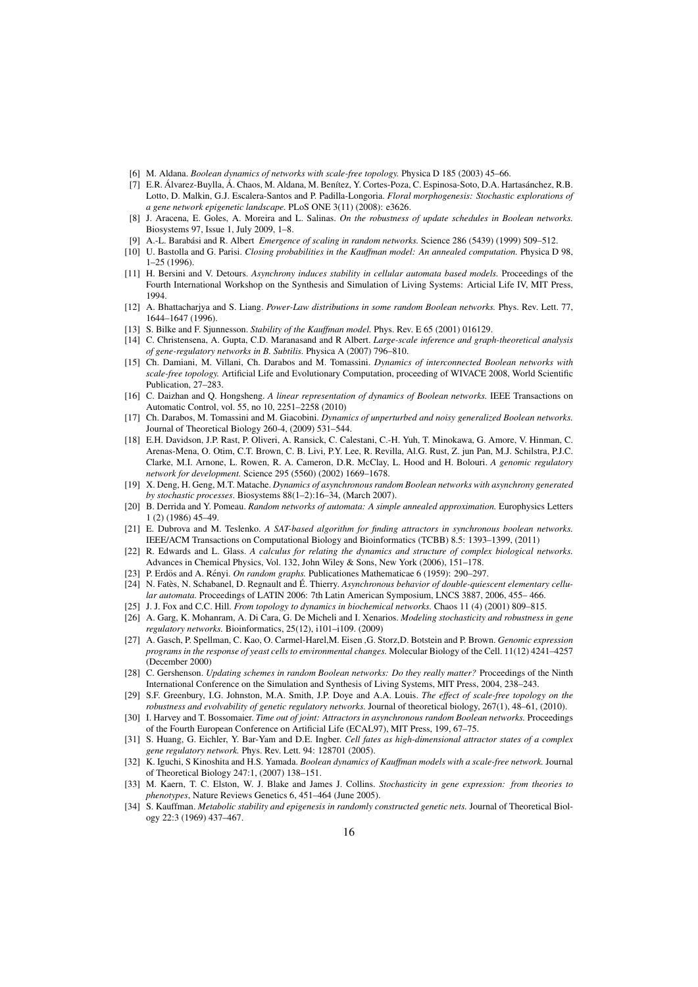- [6] M. Aldana. *Boolean dynamics of networks with scale-free topology.* Physica D 185 (2003) 45–66.
- [7] E.R. Álvarez-Buylla, Á. Chaos, M. Aldana, M. Benítez, Y. Cortes-Poza, C. Espinosa-Soto, D.A. Hartasánchez, R.B. Lotto, D. Malkin, G.J. Escalera-Santos and P. Padilla-Longoria. *Floral morphogenesis: Stochastic explorations of a gene network epigenetic landscape.* PLoS ONE 3(11) (2008): e3626.
- [8] J. Aracena, E. Goles, A. Moreira and L. Salinas. *On the robustness of update schedules in Boolean networks.* Biosystems 97, Issue 1, July 2009, 1–8.
- [9] A.-L. Barabási and R. Albert *Emergence of scaling in random networks*. Science 286 (5439) (1999) 509–512.
- [10] U. Bastolla and G. Parisi. *Closing probabilities in the Kauffman model: An annealed computation.* Physica D 98, 1–25 (1996).
- [11] H. Bersini and V. Detours. *Asynchrony induces stability in cellular automata based models.* Proceedings of the Fourth International Workshop on the Synthesis and Simulation of Living Systems: Articial Life IV, MIT Press, 1994.
- [12] A. Bhattacharjya and S. Liang. *Power-Law distributions in some random Boolean networks.* Phys. Rev. Lett. 77, 1644–1647 (1996).
- [13] S. Bilke and F. Sjunnesson. *Stability of the Kauffman model.* Phys. Rev. E 65 (2001) 016129.
- [14] C. Christensena, A. Gupta, C.D. Maranasand and R Albert. *Large-scale inference and graph-theoretical analysis of gene-regulatory networks in B. Subtilis.* Physica A (2007) 796–810.
- [15] Ch. Damiani, M. Villani, Ch. Darabos and M. Tomassini. *Dynamics of interconnected Boolean networks with scale-free topology.* Artificial Life and Evolutionary Computation, proceeding of WIVACE 2008, World Scientific Publication, 27–283.
- [16] C. Daizhan and Q. Hongsheng. *A linear representation of dynamics of Boolean networks.* IEEE Transactions on Automatic Control, vol. 55, no 10, 2251–2258 (2010)
- [17] Ch. Darabos, M. Tomassini and M. Giacobini. *Dynamics of unperturbed and noisy generalized Boolean networks.* Journal of Theoretical Biology 260-4, (2009) 531–544.
- [18] E.H. Davidson, J.P. Rast, P. Oliveri, A. Ransick, C. Calestani, C.-H. Yuh, T. Minokawa, G. Amore, V. Hinman, C. Arenas-Mena, O. Otim, C.T. Brown, C. B. Livi, P.Y. Lee, R. Revilla, Al.G. Rust, Z. jun Pan, M.J. Schilstra, P.J.C. Clarke, M.I. Arnone, L. Rowen, R. A. Cameron, D.R. McClay, L. Hood and H. Bolouri. *A genomic regulatory network for development.* Science 295 (5560) (2002) 1669–1678.
- [19] X. Deng, H. Geng, M.T. Matache. *Dynamics of asynchronous random Boolean networks with asynchrony generated by stochastic processes*. Biosystems 88(1–2):16–34, (March 2007).
- [20] B. Derrida and Y. Pomeau. *Random networks of automata: A simple annealed approximation.* Europhysics Letters 1 (2) (1986) 45–49.
- [21] E. Dubrova and M. Teslenko. *A SAT-based algorithm for finding attractors in synchronous boolean networks.* IEEE/ACM Transactions on Computational Biology and Bioinformatics (TCBB) 8.5: 1393–1399, (2011)
- [22] R. Edwards and L. Glass. *A calculus for relating the dynamics and structure of complex biological networks.* Advances in Chemical Physics, Vol. 132, John Wiley & Sons, New York (2006), 151–178.
- [23] P. Erdös and A. Rényi. *On random graphs*. Publicationes Mathematicae 6 (1959): 290–297.
- [24] N. Fatès, N. Schabanel, D. Regnault and É. Thierry. Asynchronous behavior of double-quiescent elementary cellu*lar automata.* Proceedings of LATIN 2006: 7th Latin American Symposium, LNCS 3887, 2006, 455– 466.
- [25] J. J. Fox and C.C. Hill. *From topology to dynamics in biochemical networks.* Chaos 11 (4) (2001) 809–815.
- [26] A. Garg, K. Mohanram, A. Di Cara, G. De Micheli and I. Xenarios. *Modeling stochasticity and robustness in gene regulatory networks.* Bioinformatics, 25(12), i101–i109. (2009)
- [27] A. Gasch, P. Spellman, C. Kao, O. Carmel-Harel,M. Eisen ,G. Storz,D. Botstein and P. Brown. *Genomic expression programs in the response of yeast cells to environmental changes.* Molecular Biology of the Cell. 11(12) 4241–4257 (December 2000)
- [28] C. Gershenson. *Updating schemes in random Boolean networks: Do they really matter?* Proceedings of the Ninth International Conference on the Simulation and Synthesis of Living Systems, MIT Press, 2004, 238–243.
- [29] S.F. Greenbury, I.G. Johnston, M.A. Smith, J.P. Doye and A.A. Louis. *The effect of scale-free topology on the robustness and evolvability of genetic regulatory networks.* Journal of theoretical biology, 267(1), 48–61, (2010).
- [30] I. Harvey and T. Bossomaier. *Time out of joint: Attractors in asynchronous random Boolean networks.* Proceedings of the Fourth European Conference on Artificial Life (ECAL97), MIT Press, 199, 67–75.
- [31] S. Huang, G. Eichler, Y. Bar-Yam and D.E. Ingber. *Cell fates as high-dimensional attractor states of a complex gene regulatory network.* Phys. Rev. Lett. 94: 128701 (2005).
- [32] K. Iguchi, S Kinoshita and H.S. Yamada. *Boolean dynamics of Kauffman models with a scale-free network.* Journal of Theoretical Biology 247:1, (2007) 138–151.
- [33] M. Kaern, T. C. Elston, W. J. Blake and James J. Collins. *Stochasticity in gene expression: from theories to phenotypes*, Nature Reviews Genetics 6, 451–464 (June 2005).
- [34] S. Kauffman. *Metabolic stability and epigenesis in randomly constructed genetic nets.* Journal of Theoretical Biology 22:3 (1969) 437–467.